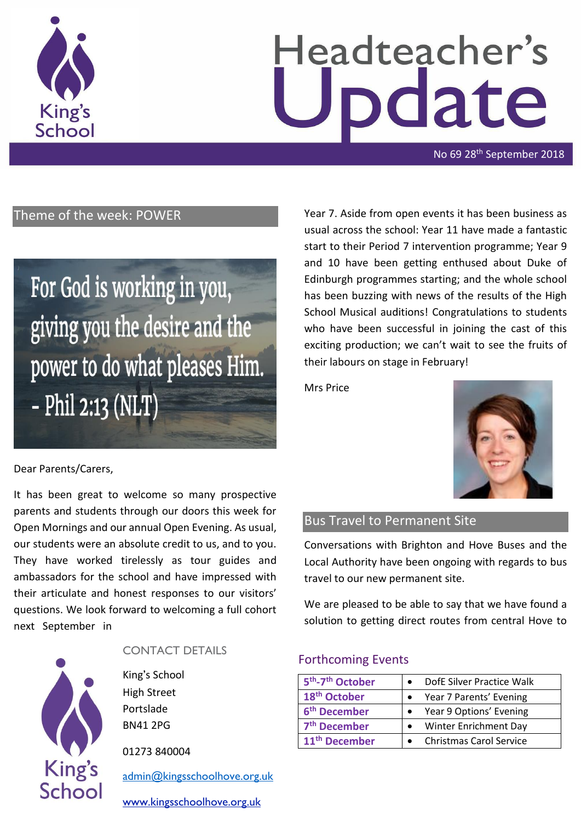

# Headteacher's date

No 69 28<sup>th</sup> September 2018

# Theme of the week: POWER

# For God is working in you, giving you the desire and the power to do what pleases Him. - Phil 2:13 (NLT)

# Year 7. Aside from open events it has been business as usual across the school: Year 11 have made a fantastic start to their Period 7 intervention programme; Year 9 and 10 have been getting enthused about Duke of Edinburgh programmes starting; and the whole school has been buzzing with news of the results of the High School Musical auditions! Congratulations to students who have been successful in joining the cast of this exciting production; we can't wait to see the fruits of their labours on stage in February!

Mrs Price



#### Bus Travel to Permanent Site

Conversations with Brighton and Hove Buses and the Local Authority have been ongoing with regards to bus travel to our new permanent site.

We are pleased to be able to say that we have found a solution to getting direct routes from central Hove to

#### Forthcoming Events

| 5 <sup>th</sup> -7 <sup>th</sup> October | DofE Silver Practice Walk      |
|------------------------------------------|--------------------------------|
| 18 <sup>th</sup> October                 | Year 7 Parents' Evening        |
| 6 <sup>th</sup> December                 | Year 9 Options' Evening        |
| 7 <sup>th</sup> December                 | Winter Enrichment Day          |
| 11 <sup>th</sup> December                | <b>Christmas Carol Service</b> |

#### Dear Parents/Carers,

It has been great to welcome so many prospective parents and students through our doors this week for Open Mornings and our annual Open Evening. As usual, our students were an absolute credit to us, and to you. They have worked tirelessly as tour guides and ambassadors for the school and have impressed with their articulate and honest responses to our visitors' questions. We look forward to welcoming a full cohort next September in



#### CONTACT DETAILS

King's School High Street Portslade BN41 2PG

01273 840004

[admin@kingsschoolhove.org.uk](mailto:admin@kingsschoolhove.org.uk)

[www.kingsschoolhove.org.uk](http://www.kingsschoolhove.org.uk/)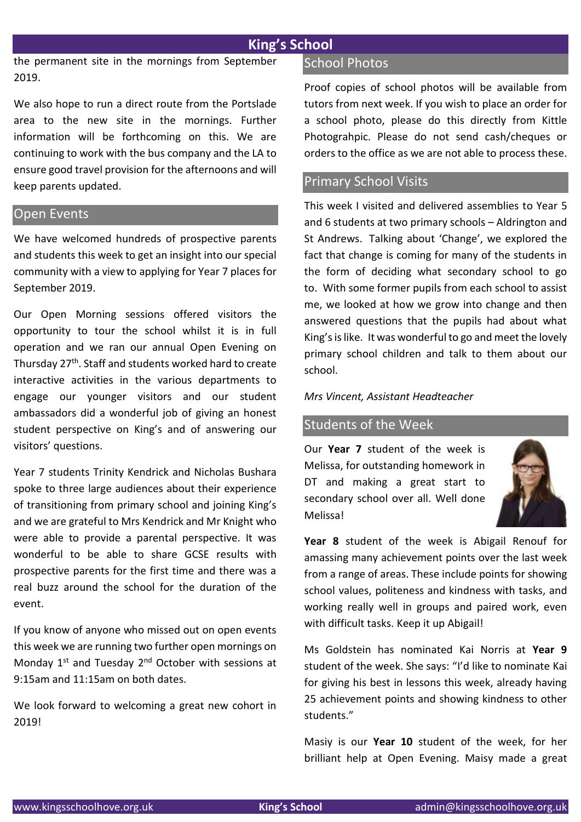# **King's School**

the permanent site in the mornings from September 2019.

We also hope to run a direct route from the Portslade area to the new site in the mornings. Further information will be forthcoming on this. We are continuing to work with the bus company and the LA to ensure good travel provision for the afternoons and will keep parents updated.

#### Open Events

We have welcomed hundreds of prospective parents and students this week to get an insight into our special community with a view to applying for Year 7 places for September 2019.

Our Open Morning sessions offered visitors the opportunity to tour the school whilst it is in full operation and we ran our annual Open Evening on Thursday 27th. Staff and students worked hard to create interactive activities in the various departments to engage our younger visitors and our student ambassadors did a wonderful job of giving an honest student perspective on King's and of answering our visitors' questions.

Year 7 students Trinity Kendrick and Nicholas Bushara spoke to three large audiences about their experience of transitioning from primary school and joining King's and we are grateful to Mrs Kendrick and Mr Knight who were able to provide a parental perspective. It was wonderful to be able to share GCSE results with prospective parents for the first time and there was a real buzz around the school for the duration of the event.

If you know of anyone who missed out on open events this week we are running two further open mornings on Monday 1st and Tuesday 2nd October with sessions at 9:15am and 11:15am on both dates.

We look forward to welcoming a great new cohort in 2019!

#### School Photos

Proof copies of school photos will be available from tutors from next week. If you wish to place an order for a school photo, please do this directly from Kittle Photograhpic. Please do not send cash/cheques or orders to the office as we are not able to process these.

#### Primary School Visits

This week I visited and delivered assemblies to Year 5 and 6 students at two primary schools – Aldrington and St Andrews. Talking about 'Change', we explored the fact that change is coming for many of the students in the form of deciding what secondary school to go to. With some former pupils from each school to assist me, we looked at how we grow into change and then answered questions that the pupils had about what King's is like. It was wonderful to go and meet the lovely primary school children and talk to them about our school.

*Mrs Vincent, Assistant Headteacher*

#### Students of the Week

Our **Year 7** student of the week is Melissa, for outstanding homework in DT and making a great start to secondary school over all. Well done Melissa!



**Year 8** student of the week is Abigail Renouf for amassing many achievement points over the last week from a range of areas. These include points for showing school values, politeness and kindness with tasks, and working really well in groups and paired work, even with difficult tasks. Keep it up Abigail!

Ms Goldstein has nominated Kai Norris at **Year 9** student of the week. She says: "I'd like to nominate Kai for giving his best in lessons this week, already having 25 achievement points and showing kindness to other students."

Masiy is our **Year 10** student of the week, for her brilliant help at Open Evening. Maisy made a great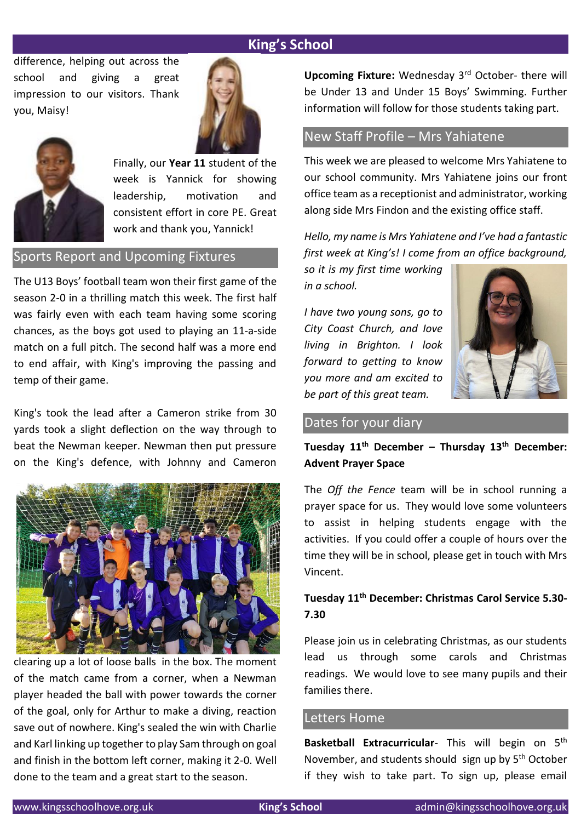# **King's School**

difference, helping out across the school and giving a great impression to our visitors. Thank you, Maisy!





Finally, our **Year 11** student of the week is Yannick for showing leadership, motivation and consistent effort in core PE. Great work and thank you, Yannick!

#### Sports Report and Upcoming Fixtures

The U13 Boys' football team won their first game of the season 2-0 in a thrilling match this week. The first half was fairly even with each team having some scoring chances, as the boys got used to playing an 11-a-side match on a full pitch. The second half was a more end to end affair, with King's improving the passing and temp of their game.

King's took the lead after a Cameron strike from 30 yards took a slight deflection on the way through to beat the Newman keeper. Newman then put pressure on the King's defence, with Johnny and Cameron



clearing up a lot of loose balls in the box. The moment of the match came from a corner, when a Newman player headed the ball with power towards the corner of the goal, only for Arthur to make a diving, reaction save out of nowhere. King's sealed the win with Charlie and Karl linking up together to play Sam through on goal and finish in the bottom left corner, making it 2-0. Well done to the team and a great start to the season.

**Upcoming Fixture:** Wednesday 3rd October- there will be Under 13 and Under 15 Boys' Swimming. Further information will follow for those students taking part.

# New Staff Profile – Mrs Yahiatene

This week we are pleased to welcome Mrs Yahiatene to our school community. Mrs Yahiatene joins our front office team as a receptionist and administrator, working along side Mrs Findon and the existing office staff.

*Hello, my name is Mrs Yahiatene and I've had a fantastic first week at King's! I come from an office background,* 

*so it is my first time working in a school.* 

*I have two young sons, go to City Coast Church, and Iove living in Brighton. I look forward to getting to know you more and am excited to be part of this great team.* 



#### Dates for your diary

# **Tuesday 11th December – Thursday 13th December: Advent Prayer Space**

The *Off the Fence* team will be in school running a prayer space for us. They would love some volunteers to assist in helping students engage with the activities. If you could offer a couple of hours over the time they will be in school, please get in touch with Mrs Vincent.

# **Tuesday 11th December: Christmas Carol Service 5.30- 7.30**

Please join us in celebrating Christmas, as our students lead us through some carols and Christmas readings. We would love to see many pupils and their families there.

#### Letters Home

Basketball Extracurricular- This will begin on 5<sup>th</sup> November, and students should sign up by 5<sup>th</sup> October if they wish to take part. To sign up, please email